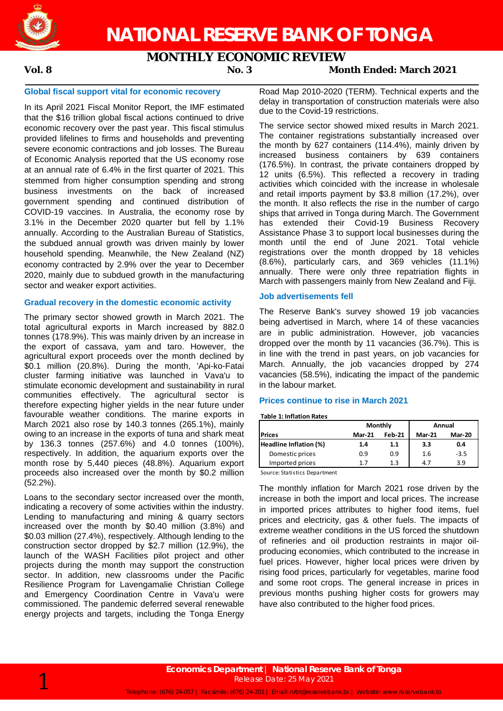

# **NATIONAL RESERVE BANK OF TONGA**

## **MONTHLY ECONOMIC REVIEW**

### **Vol. 8 No. 3 Month Ended: March 2021**

### **Global fiscal support vital for economic recovery**

In its April 2021 Fiscal Monitor Report, the IMF estimated that the \$16 trillion global fiscal actions continued to drive economic recovery over the past year. This fiscal stimulus provided lifelines to firms and households and preventing severe economic contractions and job losses. The Bureau of Economic Analysis reported that the US economy rose at an annual rate of 6.4% in the first quarter of 2021. This stemmed from higher consumption spending and strong business investments on the back of increased government spending and continued distribution of COVID-19 vaccines. In Australia, the economy rose by 3.1% in the December 2020 quarter but fell by 1.1% annually. According to the Australian Bureau of Statistics, the subdued annual growth was driven mainly by lower household spending. Meanwhile, the New Zealand (NZ) economy contracted by 2.9% over the year to December 2020, mainly due to subdued growth in the manufacturing sector and weaker export activities.

#### **Gradual recovery in the domestic economic activity**

The primary sector showed growth in March 2021. The total agricultural exports in March increased by 882.0 tonnes (178.9%). This was mainly driven by an increase in the export of cassava, yam and taro. However, the agricultural export proceeds over the month declined by \$0.1 million (20.8%). During the month, 'Api-ko-Fatai cluster farming initiative was launched in Vava'u to stimulate economic development and sustainability in rural communities effectively. The agricultural sector is therefore expecting higher yields in the near future under favourable weather conditions. The marine exports in March 2021 also rose by 140.3 tonnes (265.1%), mainly owing to an increase in the exports of tuna and shark meat by 136.3 tonnes (257.6%) and 4.0 tonnes (100%), respectively. In addition, the aquarium exports over the month rose by 5,440 pieces (48.8%). Aquarium export proceeds also increased over the month by \$0.2 million (52.2%).

Loans to the secondary sector increased over the month, indicating a recovery of some activities within the industry. Lending to manufacturing and mining & quarry sectors increased over the month by \$0.40 million (3.8%) and \$0.03 million (27.4%), respectively. Although lending to the construction sector dropped by \$2.7 million (12.9%), the launch of the WASH Facilities pilot project and other projects during the month may support the construction sector. In addition, new classrooms under the Pacific Resilience Program for Lavengamalie Christian College and Emergency Coordination Centre in Vava'u were commissioned. The pandemic deferred several renewable energy projects and targets, including the Tonga Energy Road Map 2010-2020 (TERM). Technical experts and the delay in transportation of construction materials were also due to the Covid-19 restrictions.

The service sector showed mixed results in March 2021. The container registrations substantially increased over the month by 627 containers (114.4%), mainly driven by increased business containers by 639 containers (176.5%). In contrast, the private containers dropped by 12 units (6.5%). This reflected a recovery in trading activities which coincided with the increase in wholesale and retail imports payment by \$3.8 million (17.2%), over the month. It also reflects the rise in the number of cargo ships that arrived in Tonga during March. The Government has extended their Covid-19 Business Recovery Assistance Phase 3 to support local businesses during the month until the end of June 2021. Total vehicle registrations over the month dropped by 18 vehicles (8.6%), particularly cars, and 369 vehicles (11.1%) annually. There were only three repatriation flights in March with passengers mainly from New Zealand and Fiji.

#### **Job advertisements fell**

The Reserve Bank's survey showed 19 job vacancies being advertised in March, where 14 of these vacancies are in public administration. However, job vacancies dropped over the month by 11 vacancies (36.7%). This is in line with the trend in past years, on job vacancies for March. Annually, the job vacancies dropped by 274 vacancies (58.5%), indicating the impact of the pandemic in the labour market.

#### **Prices continue to rise in March 2021**

#### **Table 1: Inflation Rates**

|                        |               | Monthly       | Annual        |               |  |
|------------------------|---------------|---------------|---------------|---------------|--|
| <b>IPrices</b>         | <b>Mar-21</b> | <b>Feb-21</b> | <b>Mar-21</b> | <b>Mar-20</b> |  |
| Headline Inflation (%) | 1.4           | 1.1           | 3.3           | 0.4           |  |
| Domestic prices        | 0.9           | 0.9           | 1.6           | $-3.5$        |  |
| Imported prices        | 17            | 1.3           | 4.7           | 3.9           |  |
| .                      |               |               |               |               |  |

Source: Statistics Department

The monthly inflation for March 2021 rose driven by the increase in both the import and local prices. The increase in imported prices attributes to higher food items, fuel prices and electricity, gas & other fuels. The impacts of extreme weather conditions in the US forced the shutdown of refineries and oil production restraints in major oilproducing economies, which contributed to the increase in fuel prices. However, higher local prices were driven by rising food prices, particularly for vegetables, marine food and some root crops. The general increase in prices in previous months pushing higher costs for growers may have also contributed to the higher food prices.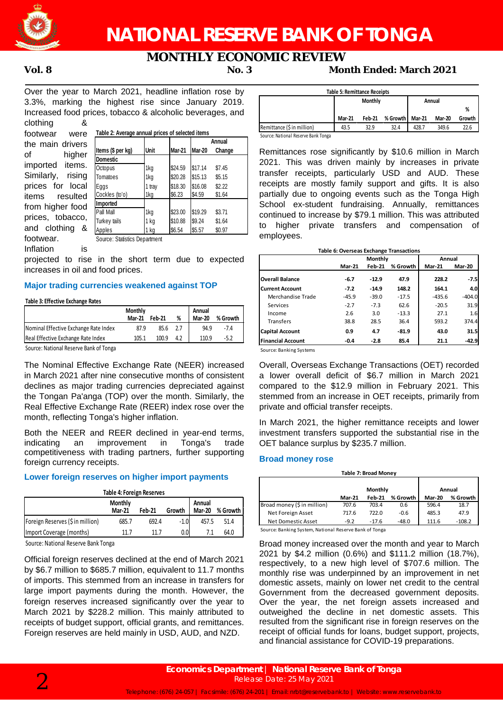

# **NATIONAL RESERVE BANK OF TONGA**

## **MONTHLY ECONOMIC REVIEW**

### **Vol. 8 No. 3 Month Ended: March 2021**

Over the year to March 2021, headline inflation rose by 3.3%, marking the highest rise since January 2019. Increased food prices, tobacco & alcoholic beverages, and  $\alpha$ clothing  $\alpha$ 

| CIUIHIII<br>∼        |  |  |  |  |  |  |  |
|----------------------|--|--|--|--|--|--|--|
| footwear<br>were     |  |  |  |  |  |  |  |
| the main drivers     |  |  |  |  |  |  |  |
| οf<br>higher         |  |  |  |  |  |  |  |
| imported items.      |  |  |  |  |  |  |  |
| Similarly, rising    |  |  |  |  |  |  |  |
| prices for local     |  |  |  |  |  |  |  |
| items resulted       |  |  |  |  |  |  |  |
| from higher food     |  |  |  |  |  |  |  |
| prices, tobacco,     |  |  |  |  |  |  |  |
| and clothing &       |  |  |  |  |  |  |  |
| footwear.            |  |  |  |  |  |  |  |
| ر به زاد به اگر در ا |  |  |  |  |  |  |  |

|                   |        |               |               | Annual |  |  |  |
|-------------------|--------|---------------|---------------|--------|--|--|--|
| Items (\$ per kg) | Unit   | <b>Mar-21</b> | <b>Mar-20</b> | Change |  |  |  |
| Domestic          |        |               |               |        |  |  |  |
| Octopus           | 1kg    | \$24.59       | \$17.14       | \$7.45 |  |  |  |
| Tomatoes          | 1kg    | \$20.28       | \$15.13       | \$5.15 |  |  |  |
| Eggs              | 1 tray | \$18.30       | \$16.08       | \$2.22 |  |  |  |
| Cockles (to'o)    | 1kg    | \$6.23        | \$4.59        | \$1.64 |  |  |  |
| Imported          |        |               |               |        |  |  |  |
| Pall Mall         | 1kg    | \$23.00       | \$19.29       | \$3.71 |  |  |  |
| Turkey tails      | 1 kg   | \$10.88       | \$9.24        | \$1.64 |  |  |  |
| Apples            | 1 kg   | \$6.54        | \$5.57        | \$0.97 |  |  |  |

Inflation is

projected to rise in the short term due to expected increases in oil and food prices.

#### **Major trading currencies weakened against TOP**

#### **Table 3: Effective Exchange Rates**

|                                       | <b>Monthly</b><br><b>Mar-21</b> | <b>Feb-21</b> | % | Annual<br><b>Mar-20</b> | % Growth |
|---------------------------------------|---------------------------------|---------------|---|-------------------------|----------|
| Nominal Effective Exchange Rate Index | 87.9                            | 85.6          |   | 94.9                    | -7.4     |
| Real Effective Exchange Rate Index    | 105.1                           | 100.9         |   | 110.9                   | -5.2     |

Source: National Reserve Bank of Tonga

The Nominal Effective Exchange Rate (NEER) increased in March 2021 after nine consecutive months of consistent declines as major trading currencies depreciated against the Tongan Pa'anga (TOP) over the month. Similarly, the Real Effective Exchange Rate (REER) index rose over the month, reflecting Tonga's higher inflation.

Both the NEER and REER declined in year-end terms, indicating an improvement in Tonga's trade competitiveness with trading partners, further supporting foreign currency receipts.

### **Lower foreign reserves on higher import payments**

| <b>Table 4: Foreign Reserves</b>                                                             |       |       |        |       |      |  |  |  |
|----------------------------------------------------------------------------------------------|-------|-------|--------|-------|------|--|--|--|
| Monthly<br>Annual<br><b>Mar-20</b><br>% Growth I<br><b>Feb-21</b><br><b>Mar-21</b><br>Growth |       |       |        |       |      |  |  |  |
| Foreign Reserves (\$ in million)                                                             | 685.7 | 692.4 | $-1.0$ | 457.5 | 51.4 |  |  |  |
| Import Coverage (months)                                                                     | 11 7  | 11 7  | 0.0    |       | 64.0 |  |  |  |
| .                                                                                            |       |       |        |       |      |  |  |  |

Source: National Reserve Bank Tonga

Official foreign reserves declined at the end of March 2021 by \$6.7 million to \$685.7 million, equivalent to 11.7 months of imports. This stemmed from an increase in transfers for large import payments during the month. However, the foreign reserves increased significantly over the year to March 2021 by \$228.2 million. This mainly attributed to receipts of budget support, official grants, and remittances. Foreign reserves are held mainly in USD, AUD, and NZD.

| <b>Table 5: Remittance Receipts</b> |                          |               |          |        |        |        |  |  |
|-------------------------------------|--------------------------|---------------|----------|--------|--------|--------|--|--|
|                                     | <b>Monthly</b><br>Annual |               |          |        |        |        |  |  |
|                                     |                          |               |          |        |        | %      |  |  |
|                                     | <b>Mar 21</b>            | <b>Feb 21</b> | % Growth | Mar-21 | Mar-20 | Growth |  |  |
| Remittance (\$ in million)          | 43.5                     | 32.9          | 32.4     | 428.7  | 349.6  | 22.6   |  |  |
|                                     |                          |               |          |        |        |        |  |  |

Source: National Reserve Bank Tonga

Remittances rose significantly by \$10.6 million in March 2021. This was driven mainly by increases in private transfer receipts, particularly USD and AUD. These receipts are mostly family support and gifts. It is also partially due to ongoing events such as the Tonga High School ex-student fundraising. Annually, remittances continued to increase by \$79.1 million. This was attributed to higher private transfers and compensation of employees.

#### **Mar-21 Feb-21 % Growth Mar-21 Mar-20 Overall Balance -6.7 -12.9 47.9 228.2 -7.5 Current Account -7.2 -14.9 148.2 164.1 4.0** Merchandise Trade -45.9 -39.0 -17.5 -435.6 -404.0 Services -2.7 -7.3 62.6 -20.5 31.9 Income 2.6 3.0 -13.3 27.1 1.6 Transfers 38.8 28.5 36.4 593.2 374.4 **Capital Account 0.9 4.7 -81.9 43.0 31.5 Financial Account -0.4 -2.8 85.4 21.1 -42.9 Monthly Annual Table 6: Overseas Exchange Transactions**

Source: Banking Systems

Overall, Overseas Exchange Transactions (OET) recorded a lower overall deficit of \$6.7 million in March 2021 compared to the \$12.9 million in February 2021. This stemmed from an increase in OET receipts, primarily from private and official transfer receipts.

In March 2021, the higher remittance receipts and lower investment transfers supported the substantial rise in the OET balance surplus by \$235.7 million.

#### **Broad money rose**

| <b>Table 7: Broad Money</b> |               |               |          |               |          |  |  |
|-----------------------------|---------------|---------------|----------|---------------|----------|--|--|
|                             | Annual        |               |          |               |          |  |  |
|                             | <b>Mar-21</b> | <b>Feb-21</b> | % Growth | <b>Mar-20</b> | % Growth |  |  |
| Broad money (\$ in million) | 707.6         | 703.4         | 0.6      | 596.4         | 18.7     |  |  |
| Net Foreign Asset           | 717.6         | 722.0         | $-0.6$   | 485.3         | 47.9     |  |  |
| Net Domestic Asset          | $-9.2$        | $-17.6$       | $-48.0$  | 111.6         | $-108.2$ |  |  |

Source: Banking System, National Reserve Bank of Tonga

Broad money increased over the month and year to March 2021 by \$4.2 million (0.6%) and \$111.2 million (18.7%), respectively, to a new high level of \$707.6 million. The monthly rise was underpinned by an improvement in net domestic assets, mainly on lower net credit to the central Government from the decreased government deposits. Over the year, the net foreign assets increased and outweighed the decline in net domestic assets. This resulted from the significant rise in foreign reserves on the receipt of official funds for loans, budget support, projects, and financial assistance for COVID-19 preparations.